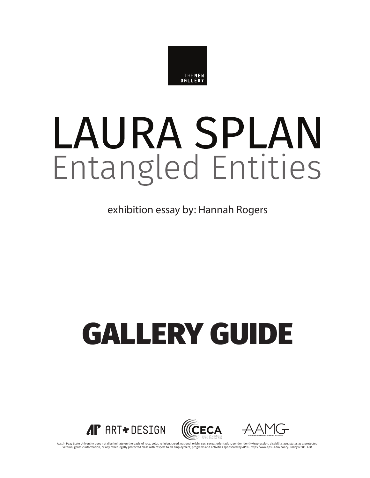

# LAURA SPLAN Entangled Entities

exhibition essay by: Hannah Rogers

## **GALLERY GUIDE**



Austin Peay State University does not discriminate on the basis of race, color, religion, creed, national origin, sex, sexual orientation, gender identity/expression, disability, age, status as a protected class with respe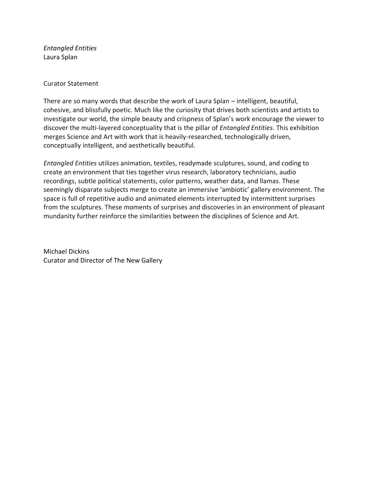*Entangled Entities* Laura Splan

#### Curator Statement

There are so many words that describe the work of Laura Splan – intelligent, beautiful, cohesive, and blissfully poetic. Much like the curiosity that drives both scientists and artists to investigate our world, the simple beauty and crispness of Splan's work encourage the viewer to discover the multi-layered conceptuality that is the pillar of *Entangled Entities*. This exhibition merges Science and Art with work that is heavily-researched, technologically driven, conceptually intelligent, and aesthetically beautiful.

*Entangled Entities* utilizes animation, textiles, readymade sculptures, sound, and coding to create an environment that ties together virus research, laboratory technicians, audio recordings, subtle political statements, color patterns, weather data, and llamas. These seemingly disparate subjects merge to create an immersive 'ambiotic' gallery environment. The space is full of repetitive audio and animated elements interrupted by intermittent surprises from the sculptures. These moments of surprises and discoveries in an environment of pleasant mundanity further reinforce the similarities between the disciplines of Science and Art.

Michael Dickins Curator and Director of The New Gallery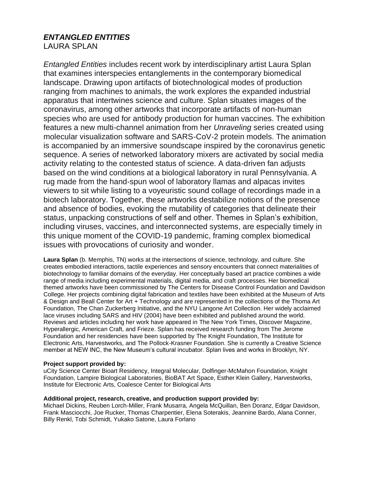## *ENTANGLED ENTITIES* LAURA SPLAN

*Entangled Entities* includes recent work by interdisciplinary artist Laura Splan that examines interspecies entanglements in the contemporary biomedical landscape. Drawing upon artifacts of biotechnological modes of production ranging from machines to animals, the work explores the expanded industrial apparatus that intertwines science and culture. Splan situates images of the coronavirus, among other artworks that incorporate artifacts of non-human species who are used for antibody production for human vaccines. The exhibition features a new multi-channel animation from her *Unraveling* series created using molecular visualization software and SARS-CoV-2 protein models. The animation is accompanied by an immersive soundscape inspired by the coronavirus genetic sequence. A series of networked laboratory mixers are activated by social media activity relating to the contested status of science. A data-driven fan adjusts based on the wind conditions at a biological laboratory in rural Pennsylvania. A rug made from the hand-spun wool of laboratory llamas and alpacas invites viewers to sit while listing to a voyeuristic sound collage of recordings made in a biotech laboratory. Together, these artworks destabilize notions of the presence and absence of bodies, evoking the mutability of categories that delineate their status, unpacking constructions of self and other. Themes in Splan's exhibition, including viruses, vaccines, and interconnected systems, are especially timely in this unique moment of the COVID-19 pandemic, framing complex biomedical issues with provocations of curiosity and wonder.

**Laura Splan** (b. Memphis, TN) works at the intersections of science, technology, and culture. She creates embodied interactions, tactile experiences and sensory encounters that connect materialities of biotechnology to familiar domains of the everyday. Her conceptually based art practice combines a wide range of media including experimental materials, digital media, and craft processes. Her biomedical themed artworks have been commissioned by The Centers for Disease Control Foundation and Davidson College. Her projects combining digital fabrication and textiles have been exhibited at the Museum of Arts & Design and Beall Center for Art + Technology and are represented in the collections of the Thoma Art Foundation, The Chan Zuckerberg Initiative, and the NYU Langone Art Collection. Her widely acclaimed lace viruses including SARS and HIV (2004) have been exhibited and published around the world. Reviews and articles including her work have appeared in The New York Times, Discover Magazine, Hyperallergic, American Craft, and Frieze. Splan has received research funding from The Jerome Foundation and her residencies have been supported by The Knight Foundation, The Institute for Electronic Arts, Harvestworks, and The Pollock-Krasner Foundation. She is currently a Creative Science member at NEW INC, the New Museum's cultural incubator. Splan lives and works in Brooklyn, NY.

#### **Project support provided by:**

uCity Science Center Bioart Residency, Integral Molecular, Dolfinger-McMahon Foundation, Knight Foundation, Lampire Biological Laboratories, BioBAT Art Space, Esther Klein Gallery, Harvestworks, Institute for Electronic Arts, Coalesce Center for Biological Arts

#### **Additional project, research, creative, and production support provided by:**

Michael Dickins, Reuben Lorch-Miller, Frank Musarra, Angela McQuillan, Ben Doranz, Edgar Davidson, Frank Masciocchi, Joe Rucker, Thomas Charpentier, Elena Soterakis, Jeannine Bardo, Alana Conner, Billy Renkl, Tobi Schmidt, Yukako Satone, Laura Forlano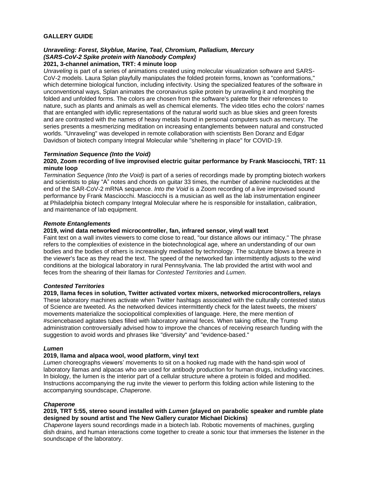#### **GALLERY GUIDE**

## *Unraveling: Forest, Skyblue, Marine, Teal, Chromium, Palladium, Mercury (SARS-CoV-2 Spike protein with Nanobody Complex)*

### **2021, 3-channel animation, TRT: 4 minute loop**

*Unraveling* is part of a series of animations created using molecular visualization software and SARS-CoV-2 models. Laura Splan playfully manipulates the folded protein forms, known as "conformations," which determine biological function, including infectivity. Using the specialized features of the software in unconventional ways, Splan animates the coronavirus spike protein by unraveling it and morphing the folded and unfolded forms. The colors are chosen from the software's palette for their references to nature, such as plants and animals as well as chemical elements. The video titles echo the colors' names that are entangled with idyllic representations of the natural world such as blue skies and green forests and are contrasted with the names of heavy metals found in personal computers such as mercury. The series presents a mesmerizing meditation on increasing entanglements between natural and constructed worlds. "Unraveling" was developed in remote collaboration with scientists Ben Doranz and Edgar Davidson of biotech company Integral Molecular while "sheltering in place" for COVID-19.

#### *Termination Sequence (Into the Void)*

#### **2020, Zoom recording of live improvised electric guitar performance by Frank Masciocchi, TRT: 11 minute loop**

*Termination Sequence (Into the Void)* is part of a series of recordings made by prompting biotech workers and scientists to play "A" notes and chords on guitar 33 times, the number of adenine nucleotides at the end of the SAR-CoV-2 mRNA sequence. *Into the Void* is a Zoom recording of a live improvised sound performance by Frank Masciocchi. Masciocchi is a musician as well as the lab instrumentation engineer at Philadelphia biotech company Integral Molecular where he is responsible for installation, calibration, and maintenance of lab equipment.

#### *Remote Entanglements*

#### **2019, wind data networked microcontroller, fan, infrared sensor, vinyl wall text**

Faint text on a wall invites viewers to come close to read, "our distance allows our intimacy." The phrase refers to the complexities of existence in the biotechnological age, where an understanding of our own bodies and the bodies of others is increasingly mediated by technology. The sculpture blows a breeze in the viewer's face as they read the text. The speed of the networked fan intermittently adjusts to the wind conditions at the biological laboratory in rural Pennsylvania. The lab provided the artist with wool and feces from the shearing of their llamas for *Contested Territories* and *Lumen*.

#### *Contested Territories*

**2019, llama feces in solution, Twitter activated vortex mixers, networked microcontrollers, relays** These laboratory machines activate when Twitter hashtags associated with the culturally contested status of Science are tweeted. As the networked devices intermittently check for the latest tweets, the mixers' movements materialize the sociopolitical complexities of language. Here, the mere mention of #sciencebased agitates tubes filled with laboratory animal feces. When taking office, the Trump administration controversially advised how to improve the chances of receiving research funding with the suggestion to avoid words and phrases like "diversity" and "evidence-based."

#### *Lumen*

#### **2019, llama and alpaca wool, wood platform, vinyl text**

*Lumen* choreographs viewers' movements to sit on a hooked rug made with the hand-spin wool of laboratory llamas and alpacas who are used for antibody production for human drugs, including vaccines. In biology, the lumen is the interior part of a cellular structure where a protein is folded and modified. Instructions accompanying the rug invite the viewer to perform this folding action while listening to the accompanying soundscape, *Chaperone*.

#### *Chaperone*

#### **2019, TRT 5:55, stereo sound installed with** *Lumen* **(played on parabolic speaker and rumble plate designed by sound artist and The New Gallery curator Michael Dickins)**

*Chaperone* layers sound recordings made in a biotech lab. Robotic movements of machines, gurgling dish drains, and human interactions come together to create a sonic tour that immerses the listener in the soundscape of the laboratory.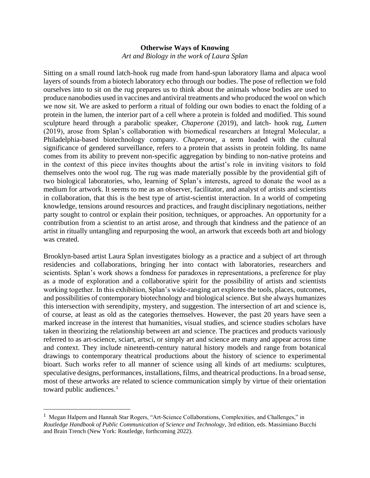## **Otherwise Ways of Knowing**

*Art and Biology in the work of Laura Splan* 

Sitting on a small round latch-hook rug made from hand-spun laboratory llama and alpaca wool layers of sounds from a biotech laboratory echo through our bodies. The pose of reflection we fold ourselves into to sit on the rug prepares us to think about the animals whose bodies are used to produce nanobodies used in vaccines and antiviral treatments and who produced the wool on which we now sit. We are asked to perform a ritual of folding our own bodies to enact the folding of a protein in the lumen, the interior part of a cell where a protein is folded and modified. This sound sculpture heard through a parabolic speaker, *Chaperone* (2019), and latch- hook rug, *Lumen* (2019), arose from Splan's collaboration with biomedical researchers at Integral Molecular, a Philadelphia-based biotechnology company. *Chaperone*, a term loaded with the cultural significance of gendered surveillance, refers to a protein that assists in protein folding. Its name comes from its ability to prevent non-specific aggregation by binding to non-native proteins and in the context of this piece invites thoughts about the artist's role in inviting visitors to fold themselves onto the wool rug. The rug was made materially possible by the providential gift of two biological laboratories, who, learning of Splan's interests, agreed to donate the wool as a medium for artwork. It seems to me as an observer, facilitator, and analyst of artists and scientists in collaboration, that this is the best type of artist-scientist interaction. In a world of competing knowledge, tensions around resources and practices, and fraught disciplinary negotiations, neither party sought to control or explain their position, techniques, or approaches. An opportunity for a contribution from a scientist to an artist arose, and through that kindness and the patience of an artist in ritually untangling and repurposing the wool, an artwork that exceeds both art and biology was created.

Brooklyn-based artist Laura Splan investigates biology as a practice and a subject of art through residencies and collaborations, bringing her into contact with laboratories, researchers and scientists. Splan's work shows a fondness for paradoxes in representations, a preference for play as a mode of exploration and a collaborative spirit for the possibility of artists and scientists working together. In this exhibition, Splan's wide-ranging art explores the tools, places, outcomes, and possibilities of contemporary biotechnology and biological science. But she always humanizes this intersection with serendipity, mystery, and suggestion. The intersection of art and science is, of course, at least as old as the categories themselves. However, the past 20 years have seen a marked increase in the interest that humanities, visual studies, and science studies scholars have taken in theorizing the relationship between art and science. The practices and products variously referred to as art-science, sciart, artsci, or simply art and science are many and appear across time and context. They include nineteenth-century natural history models and range from botanical drawings to contemporary theatrical productions about the history of science to experimental bioart. Such works refer to all manner of science using all kinds of art mediums: sculptures, speculative designs, performances, installations, films, and theatrical productions. In a broad sense, most of these artworks are related to science communication simply by virtue of their orientation toward public audiences.<sup>1</sup>

<sup>&</sup>lt;sup>1</sup> Megan Halpern and Hannah Star Rogers, "Art-Science Collaborations, Complexities, and Challenges," in *Routledge Handbook of Public Communication of Science and Technology*, 3rd edition, eds. Massimiano Bucchi and Brain Trench (New York: Routledge, forthcoming 2022).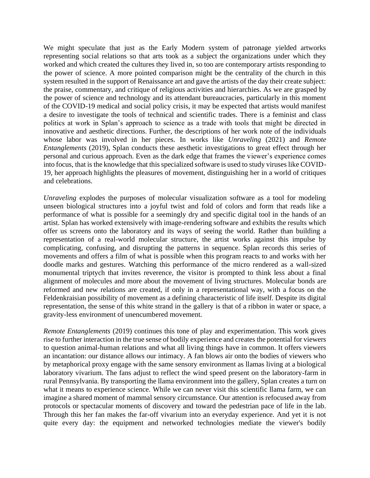We might speculate that just as the Early Modern system of patronage yielded artworks representing social relations so that arts took as a subject the organizations under which they worked and which created the cultures they lived in, so too are contemporary artists responding to the power of science. A more pointed comparison might be the centrality of the church in this system resulted in the support of Renaissance art and gave the artists of the day their create subject: the praise, commentary, and critique of religious activities and hierarchies. As we are grasped by the power of science and technology and its attendant bureaucracies, particularly in this moment of the COVID-19 medical and social policy crisis, it may be expected that artists would manifest a desire to investigate the tools of technical and scientific trades. There is a feminist and class politics at work in Splan's approach to science as a trade with tools that might be directed in innovative and aesthetic directions. Further, the descriptions of her work note of the individuals whose labor was involved in her pieces. In works like *Unraveling* (2021) and *Remote Entanglements* (2019), Splan conducts these aesthetic investigations to great effect through her personal and curious approach. Even as the dark edge that frames the viewer's experience comes into focus, that is the knowledge that this specialized software is used to study viruses like COVID-19, her approach highlights the pleasures of movement, distinguishing her in a world of critiques and celebrations.

*Unraveling* explodes the purposes of molecular visualization software as a tool for modeling unseen biological structures into a joyful twist and fold of colors and form that reads like a performance of what is possible for a seemingly dry and specific digital tool in the hands of an artist. Splan has worked extensively with image-rendering software and exhibits the results which offer us screens onto the laboratory and its ways of seeing the world. Rather than building a representation of a real-world molecular structure, the artist works against this impulse by complicating, confusing, and disrupting the patterns in sequence. Splan records this series of movements and offers a film of what is possible when this program reacts to and works with her doodle marks and gestures. Watching this performance of the micro rendered as a wall-sized monumental triptych that invites reverence, the visitor is prompted to think less about a final alignment of molecules and more about the movement of living structures. Molecular bonds are reformed and new relations are created, if only in a representational way, with a focus on the Feldenkraisian possibility of movement as a defining characteristic of life itself. Despite its digital representation, the sense of this white strand in the gallery is that of a ribbon in water or space, a gravity-less environment of unencumbered movement.

*Remote Entanglements* (2019) continues this tone of play and experimentation. This work gives rise to further interaction in the true sense of bodily experience and creates the potential for viewers to question animal-human relations and what all living things have in common. It offers viewers an incantation: our distance allows our intimacy. A fan blows air onto the bodies of viewers who by metaphorical proxy engage with the same sensory environment as llamas living at a biological laboratory vivarium. The fans adjust to reflect the wind speed present on the laboratory-farm in rural Pennsylvania. By transporting the llama environment into the gallery, Splan creates a turn on what it means to experience science. While we can never visit this scientific llama farm, we can imagine a shared moment of mammal sensory circumstance. Our attention is refocused away from protocols or spectacular moments of discovery and toward the pedestrian pace of life in the lab. Through this her fan makes the far-off vivarium into an everyday experience. And yet it is not quite every day: the equipment and networked technologies mediate the viewer's bodily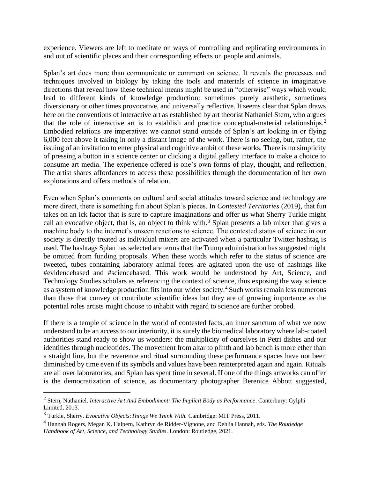experience. Viewers are left to meditate on ways of controlling and replicating environments in and out of scientific places and their corresponding effects on people and animals.

Splan's art does more than communicate or comment on science. It reveals the processes and techniques involved in biology by taking the tools and materials of science in imaginative directions that reveal how these technical means might be used in "otherwise" ways which would lead to different kinds of knowledge production: sometimes purely aesthetic, sometimes diversionary or other times provocative, and universally reflective. It seems clear that Splan draws here on the conventions of interactive art as established by art theorist Nathaniel Stern, who argues that the role of interactive art is to establish and practice conceptual-material relationships.<sup>2</sup> Embodied relations are imperative: we cannot stand outside of Splan's art looking in or flying 6,000 feet above it taking in only a distant image of the work. There is no seeing, but, rather, the issuing of an invitation to enter physical and cognitive ambit of these works. There is no simplicity of pressing a button in a science center or clicking a digital gallery interface to make a choice to consume art media. The experience offered is one's own forms of play, thought, and reflection. The artist shares affordances to access these possibilities through the documentation of her own explorations and offers methods of relation.

Even when Splan's comments on cultural and social attitudes toward science and technology are more direct, there is something fun about Splan's pieces. In *Contested Territories* (2019), that fun takes on an ick factor that is sure to capture imaginations and offer us what Sherry Turkle might call an evocative object, that is, an object to think with.<sup>3</sup> Splan presents a lab mixer that gives a machine body to the internet's unseen reactions to science. The contested status of science in our society is directly treated as individual mixers are activated when a particular Twitter hashtag is used. The hashtags Splan has selected are terms that the Trump administration has suggested might be omitted from funding proposals. When these words which refer to the status of science are tweeted, tubes containing laboratory animal feces are agitated upon the use of hashtags like #evidencebased and #sciencebased. This work would be understood by Art, Science, and Technology Studies scholars as referencing the context of science, thus exposing the way science as a system of knowledge production fits into our wider society.<sup>4</sup> Such works remain less numerous than those that convey or contribute scientific ideas but they are of growing importance as the potential roles artists might choose to inhabit with regard to science are further probed.

If there is a temple of science in the world of contested facts, an inner sanctum of what we now understand to be an access to our interiority, it is surely the biomedical laboratory where lab-coated authorities stand ready to show us wonders: the multiplicity of ourselves in Petri dishes and our identities through nucleotides. The movement from altar to plinth and lab bench is more ether than a straight line, but the reverence and ritual surrounding these performance spaces have not been diminished by time even if its symbols and values have been reinterpreted again and again. Rituals are all over laboratories, and Splan has spent time in several. If one of the things artworks can offer is the democratization of science, as documentary photographer Berenice Abbott suggested,

<sup>2</sup> Stern, Nathaniel. *Interactive Art And Embodiment: The Implicit Body as Performance*. Canterbury: Gylphi Limited, 2013.

<sup>3</sup> Turkle, Sherry. *Evocative Objects:Things We Think With.* Cambridge: MIT Press, 2011.

<sup>4</sup> Hannah Rogers, Megan K. Halpern, Kathryn de Ridder-Vignone, and Dehlia Hannah, eds. *The Routledge Handbook of Art, Science, and Technology Studies*. London: Routledge, 2021.